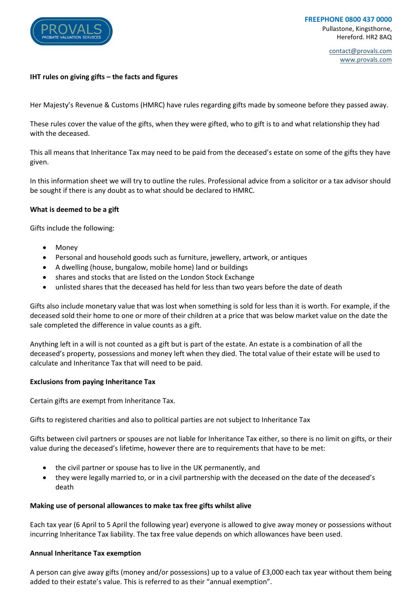

contact@provals.com www.provals.com

## **IHT rules on giving gifts – the facts and figures**

Her Majesty's Revenue & Customs (HMRC) have rules regarding gifts made by someone before they passed away.

These rules cover the value of the gifts, when they were gifted, who to gift is to and what relationship they had with the deceased.

This all means that Inheritance Tax may need to be paid from the deceased's estate on some of the gifts they have given.

In this information sheet we will try to outline the rules. Professional advice from a solicitor or a tax advisor should be sought if there is any doubt as to what should be declared to HMRC.

#### **What is deemed to be a gift**

Gifts include the following:

- Money
- Personal and household goods such as furniture, jewellery, artwork, or antiques
- A dwelling (house, bungalow, mobile home) land or buildings
- shares and stocks that are listed on the London Stock Exchange
- unlisted shares that the deceased has held for less than two years before the date of death

Gifts also include monetary value that was lost when something is sold for less than it is worth. For example, if the deceased sold their home to one or more of their children at a price that was below market value on the date the sale completed the difference in value counts as a gift.

Anything left in a will is not counted as a gift but is part of the estate. An estate is a combination of all the deceased's property, possessions and money left when they died. The total value of their estate will be used to calculate and Inheritance Tax that will need to be paid.

#### **Exclusions from paying Inheritance Tax**

Certain gifts are exempt from Inheritance Tax.

Gifts to registered charities and also to political parties are not subject to Inheritance Tax

Gifts between civil partners or spouses are not liable for Inheritance Tax either, so there is no limit on gifts, or their value during the deceased's lifetime, however there are to requirements that have to be met:

- the civil partner or spouse has to live in the UK permanently, and
- they were legally married to, or in a civil partnership with the deceased on the date of the deceased's death

#### **Making use of personal allowances to make tax free gifts whilst alive**

Each tax year (6 April to 5 April the following year) everyone is allowed to give away money or possessions without incurring Inheritance Tax liability. The tax free value depends on which allowances have been used.

#### **Annual Inheritance Tax exemption**

A person can give away gifts (money and/or possessions) up to a value of £3,000 each tax year without them being added to their estate's value. This is referred to as their "annual exemption".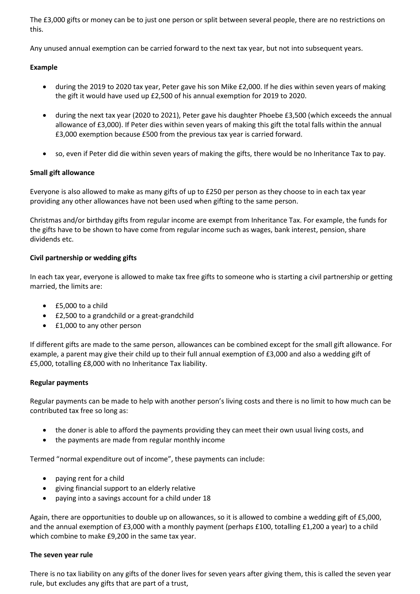The £3,000 gifts or money can be to just one person or split between several people, there are no restrictions on this.

Any unused annual exemption can be carried forward to the next tax year, but not into subsequent years.

## **Example**

- during the 2019 to 2020 tax year, Peter gave his son Mike £2,000. If he dies within seven years of making the gift it would have used up £2,500 of his annual exemption for 2019 to 2020.
- during the next tax year (2020 to 2021), Peter gave his daughter Phoebe £3,500 (which exceeds the annual allowance of £3,000). If Peter dies within seven years of making this gift the total falls within the annual £3,000 exemption because £500 from the previous tax year is carried forward.
- so, even if Peter did die within seven years of making the gifts, there would be no Inheritance Tax to pay.

## **Small gift allowance**

Everyone is also allowed to make as many gifts of up to £250 per person as they choose to in each tax year providing any other allowances have not been used when gifting to the same person.

Christmas and/or birthday gifts from regular income are exempt from Inheritance Tax. For example, the funds for the gifts have to be shown to have come from regular income such as wages, bank interest, pension, share dividends etc.

## **Civil partnership or wedding gifts**

In each tax year, everyone is allowed to make tax free gifts to someone who is starting a civil partnership or getting married, the limits are:

- £5,000 to a child
- £2,500 to a grandchild or a great-grandchild
- £1,000 to any other person

If different gifts are made to the same person, allowances can be combined except for the small gift allowance. For example, a parent may give their child up to their full annual exemption of £3,000 and also a wedding gift of £5,000, totalling £8,000 with no Inheritance Tax liability.

## **Regular payments**

Regular payments can be made to help with another person's living costs and there is no limit to how much can be contributed tax free so long as:

- the doner is able to afford the payments providing they can meet their own usual living costs, and
- the payments are made from regular monthly income

Termed "normal expenditure out of income", these payments can include:

- paying rent for a child
- giving financial support to an elderly relative
- paying into a savings account for a child under 18

Again, there are opportunities to double up on allowances, so it is allowed to combine a wedding gift of £5,000, and the annual exemption of £3,000 with a monthly payment (perhaps £100, totalling £1,200 a year) to a child which combine to make £9,200 in the same tax year.

## **The seven year rule**

There is no tax liability on any gifts of the doner lives for seven years after giving them, this is called the seven year rule, but excludes any gifts that are part of a trust,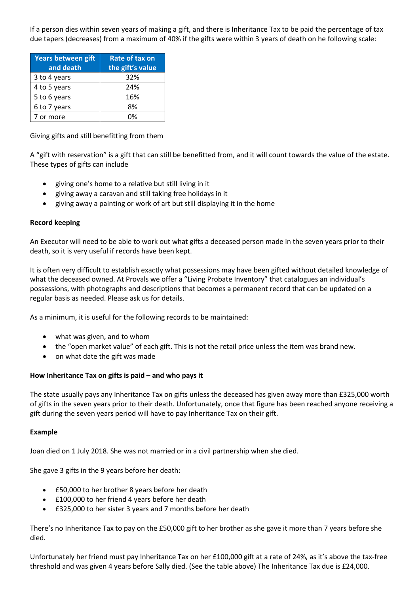If a person dies within seven years of making a gift, and there is Inheritance Tax to be paid the percentage of tax due tapers (decreases) from a maximum of 40% if the gifts were within 3 years of death on he following scale:

| Years between gift<br>and death | Rate of tax on<br>the gift's value |
|---------------------------------|------------------------------------|
| 3 to 4 years                    | 32%                                |
| 4 to 5 years                    | 24%                                |
| 5 to 6 years                    | 16%                                |
| 6 to 7 years                    | 8%                                 |
| 7 or more                       | በ%                                 |

Giving gifts and still benefitting from them

A "gift with reservation" is a gift that can still be benefitted from, and it will count towards the value of the estate. These types of gifts can include

- giving one's home to a relative but still living in it
- giving away a caravan and still taking free holidays in it
- giving away a painting or work of art but still displaying it in the home

## **Record keeping**

An Executor will need to be able to work out what gifts a deceased person made in the seven years prior to their death, so it is very useful if records have been kept.

It is often very difficult to establish exactly what possessions may have been gifted without detailed knowledge of what the deceased owned. At Provals we offer a "Living Probate Inventory" that catalogues an individual's possessions, with photographs and descriptions that becomes a permanent record that can be updated on a regular basis as needed. Please ask us for details.

As a minimum, it is useful for the following records to be maintained:

- what was given, and to whom
- the "open market value" of each gift. This is not the retail price unless the item was brand new.
- on what date the gift was made

## **How Inheritance Tax on gifts is paid – and who pays it**

The state usually pays any Inheritance Tax on gifts unless the deceased has given away more than £325,000 worth of gifts in the seven years prior to their death. Unfortunately, once that figure has been reached anyone receiving a gift during the seven years period will have to pay Inheritance Tax on their gift.

## **Example**

Joan died on 1 July 2018. She was not married or in a civil partnership when she died.

She gave 3 gifts in the 9 years before her death:

- £50,000 to her brother 8 years before her death
- £100,000 to her friend 4 years before her death
- £325,000 to her sister 3 years and 7 months before her death

There's no Inheritance Tax to pay on the £50,000 gift to her brother as she gave it more than 7 years before she died.

Unfortunately her friend must pay Inheritance Tax on her £100,000 gift at a rate of 24%, as it's above the tax-free threshold and was given 4 years before Sally died. (See the table above) The Inheritance Tax due is £24,000.